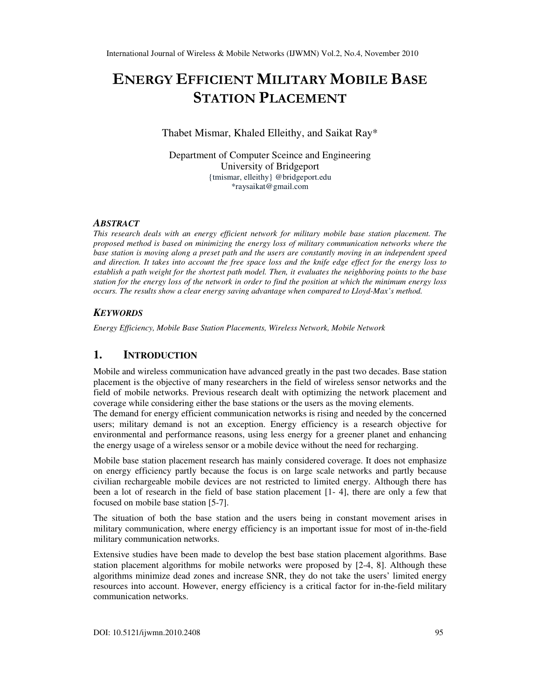# ENERGY EFFICIENT MILITARY MOBILE BASE STATION PLACEMENT

Thabet Mismar, Khaled Elleithy, and Saikat Ray\*

Department of Computer Sceince and Engineering University of Bridgeport {tmismar, elleithy} @bridgeport.edu \*raysaikat@gmail.com

# *ABSTRACT*

*This research deals with an energy efficient network for military mobile base station placement. The proposed method is based on minimizing the energy loss of military communication networks where the base station is moving along a preset path and the users are constantly moving in an independent speed and direction. It takes into account the free space loss and the knife edge effect for the energy loss to establish a path weight for the shortest path model. Then, it evaluates the neighboring points to the base station for the energy loss of the network in order to find the position at which the minimum energy loss occurs. The results show a clear energy saving advantage when compared to Lloyd-Max's method.* 

# *KEYWORDS*

*Energy Efficiency, Mobile Base Station Placements, Wireless Network, Mobile Network* 

# **1. INTRODUCTION**

Mobile and wireless communication have advanced greatly in the past two decades. Base station placement is the objective of many researchers in the field of wireless sensor networks and the field of mobile networks. Previous research dealt with optimizing the network placement and coverage while considering either the base stations or the users as the moving elements.

The demand for energy efficient communication networks is rising and needed by the concerned users; military demand is not an exception. Energy efficiency is a research objective for environmental and performance reasons, using less energy for a greener planet and enhancing the energy usage of a wireless sensor or a mobile device without the need for recharging.

Mobile base station placement research has mainly considered coverage. It does not emphasize on energy efficiency partly because the focus is on large scale networks and partly because civilian rechargeable mobile devices are not restricted to limited energy. Although there has been a lot of research in the field of base station placement [1- 4], there are only a few that focused on mobile base station [5-7].

The situation of both the base station and the users being in constant movement arises in military communication, where energy efficiency is an important issue for most of in-the-field military communication networks.

Extensive studies have been made to develop the best base station placement algorithms. Base station placement algorithms for mobile networks were proposed by [2-4, 8]. Although these algorithms minimize dead zones and increase SNR, they do not take the users' limited energy resources into account. However, energy efficiency is a critical factor for in-the-field military communication networks.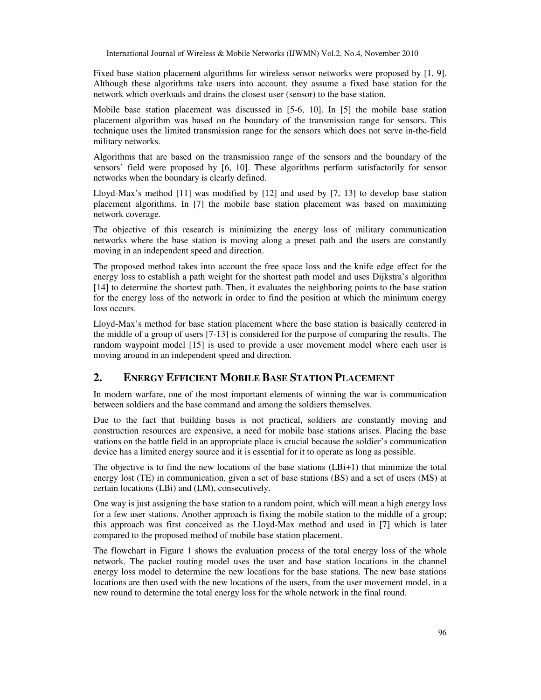Fixed base station placement algorithms for wireless sensor networks were proposed by [1, 9]. Although these algorithms take users into account, they assume a fixed base station for the network which overloads and drains the closest user (sensor) to the base station.

Mobile base station placement was discussed in [5-6, 10]. In [5] the mobile base station placement algorithm was based on the boundary of the transmission range for sensors. This technique uses the limited transmission range for the sensors which does not serve in-the-field military networks.

Algorithms that are based on the transmission range of the sensors and the boundary of the sensors' field were proposed by [6, 10]. These algorithms perform satisfactorily for sensor networks when the boundary is clearly defined.

Lloyd-Max's method [11] was modified by [12] and used by [7, 13] to develop base station placement algorithms. In [7] the mobile base station placement was based on maximizing network coverage.

The objective of this research is minimizing the energy loss of military communication networks where the base station is moving along a preset path and the users are constantly moving in an independent speed and direction.

The proposed method takes into account the free space loss and the knife edge effect for the energy loss to establish a path weight for the shortest path model and uses Dijkstra's algorithm [14] to determine the shortest path. Then, it evaluates the neighboring points to the base station for the energy loss of the network in order to find the position at which the minimum energy loss occurs.

Lloyd-Max's method for base station placement where the base station is basically centered in the middle of a group of users [7-13] is considered for the purpose of comparing the results. The random waypoint model [15] is used to provide a user movement model where each user is moving around in an independent speed and direction.

### **2. ENERGY EFFICIENT MOBILE BASE STATION PLACEMENT**

In modern warfare, one of the most important elements of winning the war is communication between soldiers and the base command and among the soldiers themselves.

Due to the fact that building bases is not practical, soldiers are constantly moving and construction resources are expensive, a need for mobile base stations arises. Placing the base stations on the battle field in an appropriate place is crucial because the soldier's communication device has a limited energy source and it is essential for it to operate as long as possible.

The objective is to find the new locations of the base stations (LBi+1) that minimize the total energy lost (TE) in communication, given a set of base stations (BS) and a set of users (MS) at certain locations (LBi) and (LM), consecutively.

One way is just assigning the base station to a random point, which will mean a high energy loss for a few user stations. Another approach is fixing the mobile station to the middle of a group; this approach was first conceived as the Lloyd-Max method and used in [7] which is later compared to the proposed method of mobile base station placement.

The flowchart in Figure 1 shows the evaluation process of the total energy loss of the whole network. The packet routing model uses the user and base station locations in the channel energy loss model to determine the new locations for the base stations. The new base stations locations are then used with the new locations of the users, from the user movement model, in a new round to determine the total energy loss for the whole network in the final round.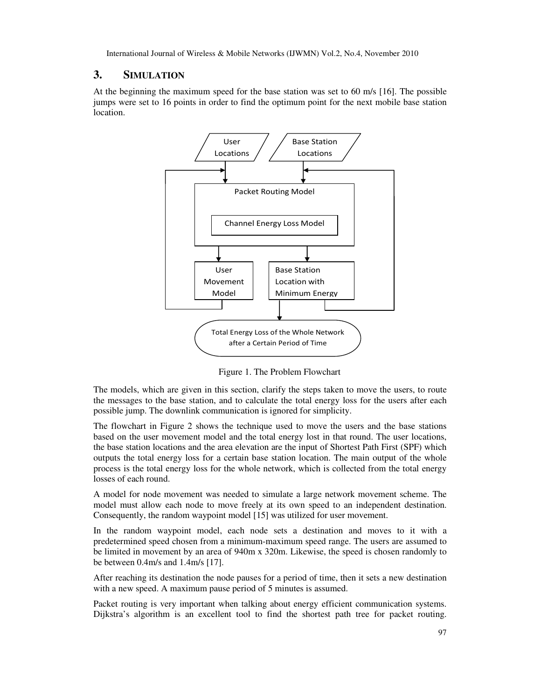# **3. SIMULATION**

At the beginning the maximum speed for the base station was set to 60 m/s [16]. The possible jumps were set to 16 points in order to find the optimum point for the next mobile base station location.



Figure 1. The Problem Flowchart

The models, which are given in this section, clarify the steps taken to move the users, to route the messages to the base station, and to calculate the total energy loss for the users after each possible jump. The downlink communication is ignored for simplicity.

The flowchart in Figure 2 shows the technique used to move the users and the base stations based on the user movement model and the total energy lost in that round. The user locations, the base station locations and the area elevation are the input of Shortest Path First (SPF) which outputs the total energy loss for a certain base station location. The main output of the whole process is the total energy loss for the whole network, which is collected from the total energy losses of each round.

A model for node movement was needed to simulate a large network movement scheme. The model must allow each node to move freely at its own speed to an independent destination. Consequently, the random waypoint model [15] was utilized for user movement.

In the random waypoint model, each node sets a destination and moves to it with a predetermined speed chosen from a minimum-maximum speed range. The users are assumed to be limited in movement by an area of 940m x 320m. Likewise, the speed is chosen randomly to be between 0.4m/s and 1.4m/s [17].

After reaching its destination the node pauses for a period of time, then it sets a new destination with a new speed. A maximum pause period of 5 minutes is assumed.

Packet routing is very important when talking about energy efficient communication systems. Dijkstra's algorithm is an excellent tool to find the shortest path tree for packet routing.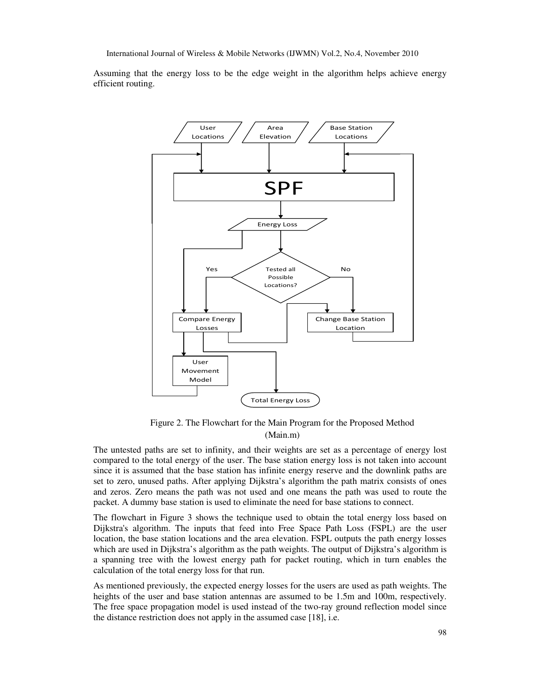Assuming that the energy loss to be the edge weight in the algorithm helps achieve energy efficient routing.



Figure 2. The Flowchart for the Main Program for the Proposed Method (Main.m)

The untested paths are set to infinity, and their weights are set as a percentage of energy lost compared to the total energy of the user. The base station energy loss is not taken into account since it is assumed that the base station has infinite energy reserve and the downlink paths are set to zero, unused paths. After applying Dijkstra's algorithm the path matrix consists of ones and zeros. Zero means the path was not used and one means the path was used to route the packet. A dummy base station is used to eliminate the need for base stations to connect.

The flowchart in Figure 3 shows the technique used to obtain the total energy loss based on Dijkstra's algorithm. The inputs that feed into Free Space Path Loss (FSPL) are the user location, the base station locations and the area elevation. FSPL outputs the path energy losses which are used in Dijkstra's algorithm as the path weights. The output of Dijkstra's algorithm is a spanning tree with the lowest energy path for packet routing, which in turn enables the calculation of the total energy loss for that run.

As mentioned previously, the expected energy losses for the users are used as path weights. The heights of the user and base station antennas are assumed to be 1.5m and 100m, respectively. The free space propagation model is used instead of the two-ray ground reflection model since the distance restriction does not apply in the assumed case [18], i.e.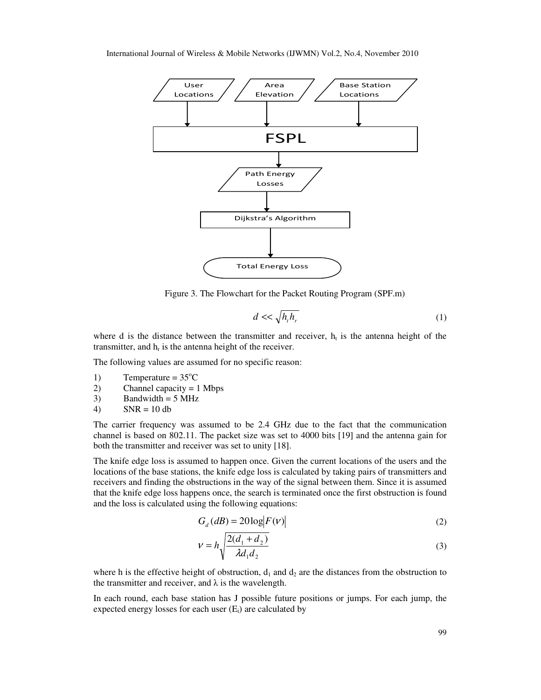

Figure 3. The Flowchart for the Packet Routing Program (SPF.m)

$$
d \ll \sqrt{h_t h_r} \tag{1}
$$

where d is the distance between the transmitter and receiver,  $h_t$  is the antenna height of the transmitter, and  $h_r$  is the antenna height of the receiver.

The following values are assumed for no specific reason:

- 1) Temperature =  $35^{\circ}$ C
- 2) Channel capacity = 1 Mbps
- 3) Bandwidth =  $5 \text{ MHz}$
- 4)  $SNR = 10 db$

The carrier frequency was assumed to be 2.4 GHz due to the fact that the communication channel is based on 802.11. The packet size was set to 4000 bits [19] and the antenna gain for both the transmitter and receiver was set to unity [18].

The knife edge loss is assumed to happen once. Given the current locations of the users and the locations of the base stations, the knife edge loss is calculated by taking pairs of transmitters and receivers and finding the obstructions in the way of the signal between them. Since it is assumed that the knife edge loss happens once, the search is terminated once the first obstruction is found and the loss is calculated using the following equations:

$$
G_d(dB) = 20\log|F(v)|\tag{2}
$$

$$
v = h \sqrt{\frac{2(d_1 + d_2)}{\lambda d_1 d_2}}
$$
 (3)

where h is the effective height of obstruction,  $d_1$  and  $d_2$  are the distances from the obstruction to the transmitter and receiver, and  $\lambda$  is the wavelength.

In each round, each base station has J possible future positions or jumps. For each jump, the expected energy losses for each user  $(E_i)$  are calculated by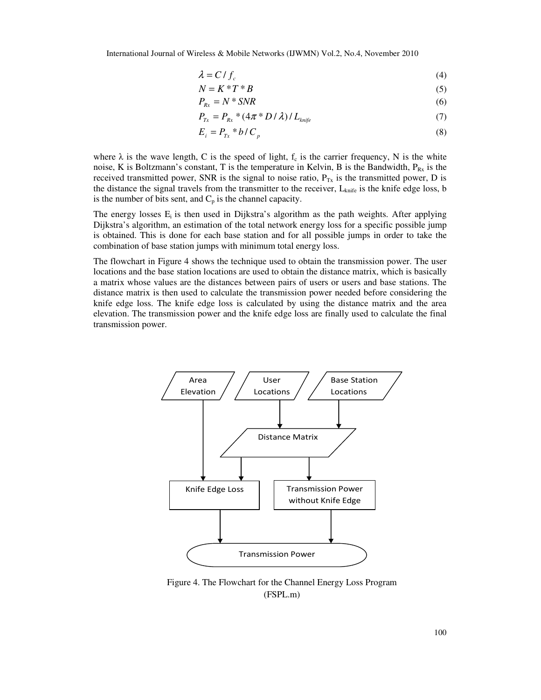$$
\lambda = C/f_c \tag{4}
$$

$$
N = K * T * B \tag{5}
$$

$$
P_{Rx} = N \cdot SNR \tag{6}
$$

$$
P_{Tx} = P_{Rx} * (4\pi * D/\lambda) / L_{knife}
$$
 (7)

$$
E_i = P_{Tx} * b / C_p \tag{8}
$$

where  $\lambda$  is the wave length, C is the speed of light,  $f_c$  is the carrier frequency, N is the white noise, K is Boltzmann's constant, T is the temperature in Kelvin, B is the Bandwidth,  $P_{Rx}$  is the received transmitted power, SNR is the signal to noise ratio,  $P_{Tx}$  is the transmitted power, D is the distance the signal travels from the transmitter to the receiver,  $L_{\text{knife}}$  is the knife edge loss, b is the number of bits sent, and  $C_p$  is the channel capacity.

The energy losses  $E_i$  is then used in Dijkstra's algorithm as the path weights. After applying Dijkstra's algorithm, an estimation of the total network energy loss for a specific possible jump is obtained. This is done for each base station and for all possible jumps in order to take the combination of base station jumps with minimum total energy loss.

The flowchart in Figure 4 shows the technique used to obtain the transmission power. The user locations and the base station locations are used to obtain the distance matrix, which is basically a matrix whose values are the distances between pairs of users or users and base stations. The distance matrix is then used to calculate the transmission power needed before considering the knife edge loss. The knife edge loss is calculated by using the distance matrix and the area elevation. The transmission power and the knife edge loss are finally used to calculate the final transmission power.



Figure 4. The Flowchart for the Channel Energy Loss Program (FSPL.m)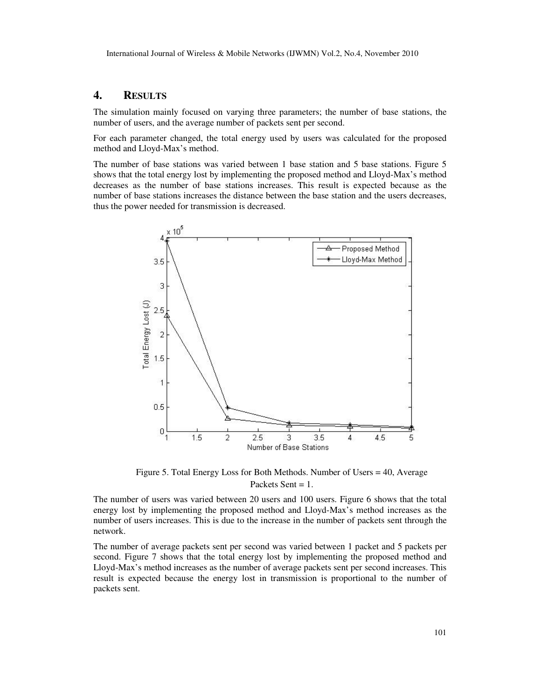### **4. RESULTS**

The simulation mainly focused on varying three parameters; the number of base stations, the number of users, and the average number of packets sent per second.

For each parameter changed, the total energy used by users was calculated for the proposed method and Lloyd-Max's method.

The number of base stations was varied between 1 base station and 5 base stations. Figure 5 shows that the total energy lost by implementing the proposed method and Lloyd-Max's method decreases as the number of base stations increases. This result is expected because as the number of base stations increases the distance between the base station and the users decreases, thus the power needed for transmission is decreased.



Figure 5. Total Energy Loss for Both Methods. Number of Users = 40, Average Packets Sent  $= 1$ .

The number of users was varied between 20 users and 100 users. Figure 6 shows that the total energy lost by implementing the proposed method and Lloyd-Max's method increases as the number of users increases. This is due to the increase in the number of packets sent through the network.

The number of average packets sent per second was varied between 1 packet and 5 packets per second. Figure 7 shows that the total energy lost by implementing the proposed method and Lloyd-Max's method increases as the number of average packets sent per second increases. This result is expected because the energy lost in transmission is proportional to the number of packets sent.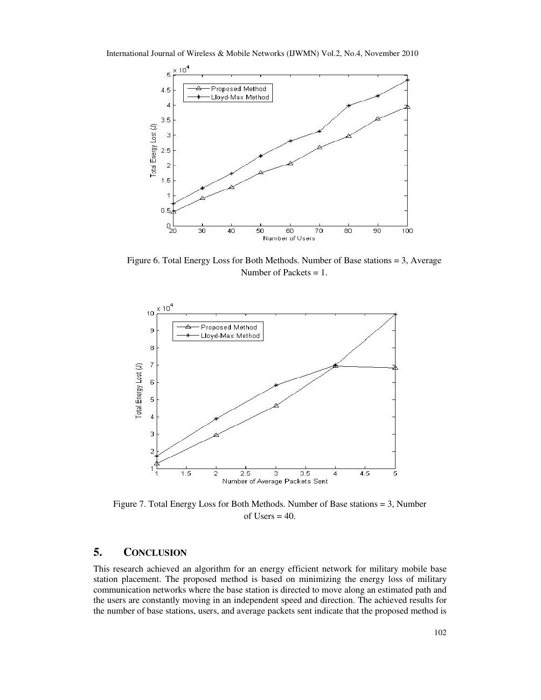

Figure 6. Total Energy Loss for Both Methods. Number of Base stations = 3, Average Number of Packets = 1.



Figure 7. Total Energy Loss for Both Methods. Number of Base stations = 3, Number of Users  $= 40$ .

### **5. CONCLUSION**

This research achieved an algorithm for an energy efficient network for military mobile base station placement. The proposed method is based on minimizing the energy loss of military communication networks where the base station is directed to move along an estimated path and the users are constantly moving in an independent speed and direction. The achieved results for the number of base stations, users, and average packets sent indicate that the proposed method is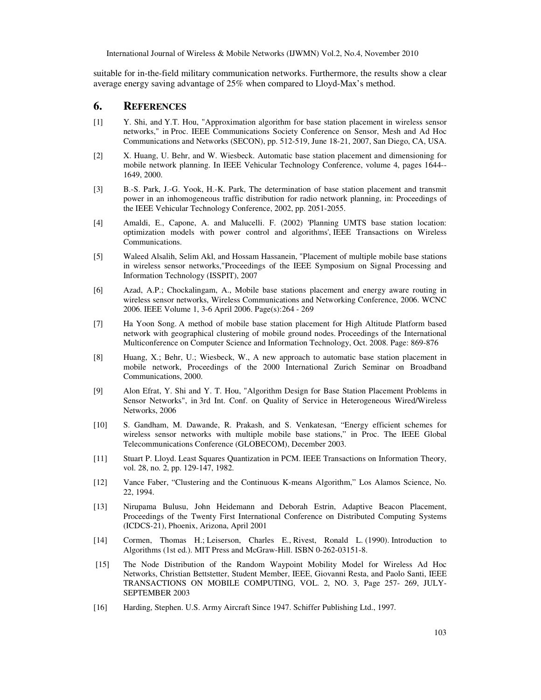suitable for in-the-field military communication networks. Furthermore, the results show a clear average energy saving advantage of 25% when compared to Lloyd-Max's method.

#### **6. REFERENCES**

- [1] Y. Shi, and Y.T. Hou, "Approximation algorithm for base station placement in wireless sensor networks," in Proc. IEEE Communications Society Conference on Sensor, Mesh and Ad Hoc Communications and Networks (SECON), pp. 512-519, June 18-21, 2007, San Diego, CA, USA.
- [2] X. Huang, U. Behr, and W. Wiesbeck. Automatic base station placement and dimensioning for mobile network planning. In IEEE Vehicular Technology Conference, volume 4, pages 1644-- 1649, 2000.
- [3] B.-S. Park, J.-G. Yook, H.-K. Park, The determination of base station placement and transmit power in an inhomogeneous traffic distribution for radio network planning, in: Proceedings of the IEEE Vehicular Technology Conference, 2002, pp. 2051-2055.
- [4] Amaldi, E., Capone, A. and Malucelli. F. (2002) 'Planning UMTS base station location: optimization models with power control and algorithms', IEEE Transactions on Wireless Communications.
- [5] Waleed Alsalih, Selim Akl, and Hossam Hassanein, "Placement of multiple mobile base stations in wireless sensor networks,"Proceedings of the IEEE Symposium on Signal Processing and Information Technology (ISSPIT), 2007
- [6] Azad, A.P.; Chockalingam, A., Mobile base stations placement and energy aware routing in wireless sensor networks, Wireless Communications and Networking Conference, 2006. WCNC 2006. IEEE Volume 1, 3-6 April 2006. Page(s):264 - 269
- [7] Ha Yoon Song. A method of mobile base station placement for High Altitude Platform based network with geographical clustering of mobile ground nodes. Proceedings of the International Multiconference on Computer Science and Information Technology, Oct. 2008. Page: 869-876
- [8] Huang, X.; Behr, U.; Wiesbeck, W., A new approach to automatic base station placement in mobile network, Proceedings of the 2000 International Zurich Seminar on Broadband Communications, 2000.
- [9] Alon Efrat, Y. Shi and Y. T. Hou, "Algorithm Design for Base Station Placement Problems in Sensor Networks", in 3rd Int. Conf. on Quality of Service in Heterogeneous Wired/Wireless Networks, 2006
- [10] S. Gandham, M. Dawande, R. Prakash, and S. Venkatesan, "Energy efficient schemes for wireless sensor networks with multiple mobile base stations," in Proc. The IEEE Global Telecommunications Conference (GLOBECOM), December 2003.
- [11] Stuart P. Lloyd. Least Squares Quantization in PCM. IEEE Transactions on Information Theory, vol. 28, no. 2, pp. 129-147, 1982.
- [12] Vance Faber, "Clustering and the Continuous K-means Algorithm," Los Alamos Science, No. 22, 1994.
- [13] Nirupama Bulusu, John Heidemann and Deborah Estrin, Adaptive Beacon Placement, Proceedings of the Twenty First International Conference on Distributed Computing Systems (ICDCS-21), Phoenix, Arizona, April 2001
- [14] Cormen, Thomas H.; Leiserson, Charles E., Rivest, Ronald L. (1990). Introduction to Algorithms (1st ed.). MIT Press and McGraw-Hill. ISBN 0-262-03151-8.
- [15] The Node Distribution of the Random Waypoint Mobility Model for Wireless Ad Hoc Networks, Christian Bettstetter, Student Member, IEEE, Giovanni Resta, and Paolo Santi, IEEE TRANSACTIONS ON MOBILE COMPUTING, VOL. 2, NO. 3, Page 257- 269, JULY-SEPTEMBER 2003
- [16] Harding, Stephen. U.S. Army Aircraft Since 1947. Schiffer Publishing Ltd., 1997.